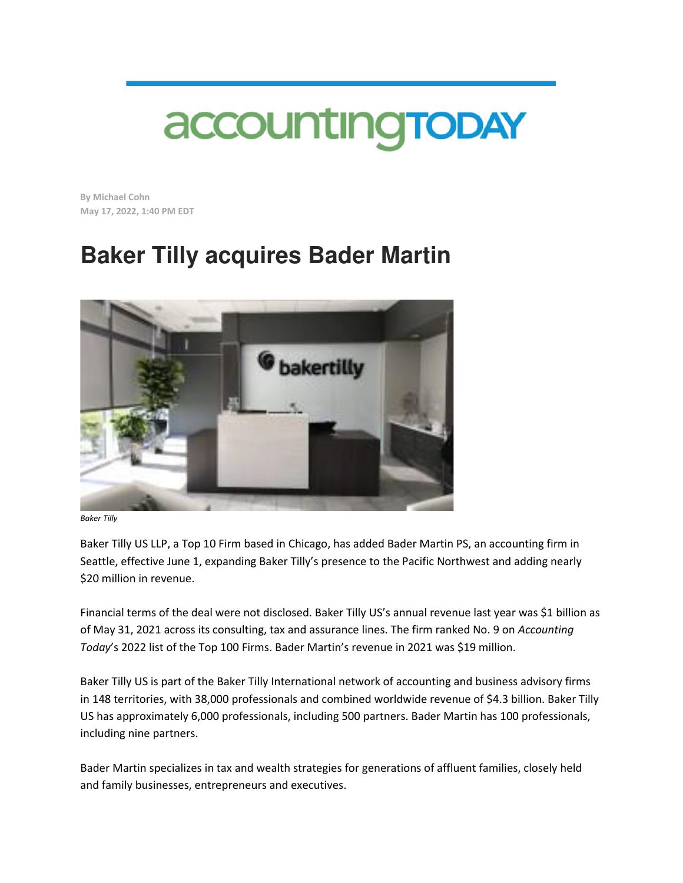## accounting TODAY

**By Michael Cohn May 17, 2022, 1:40 PM EDT** 

## **Baker Tilly acquires Bader Martin**



*Baker Tilly*

Baker Tilly US LLP, a Top 10 Firm based in Chicago, has added Bader Martin PS, an accounting firm in Seattle, effective June 1, expanding Baker Tilly's presence to the Pacific Northwest and adding nearly \$20 million in revenue.

Financial terms of the deal were not disclosed. Baker Tilly US's annual revenue last year was \$1 billion as of May 31, 2021 across its consulting, tax and assurance lines. The firm ranked No. 9 on *Accounting Today*'s 2022 list of the Top 100 Firms. Bader Martin's revenue in 2021 was \$19 million.

Baker Tilly US is part of the Baker Tilly International network of accounting and business advisory firms in 148 territories, with 38,000 professionals and combined worldwide revenue of \$4.3 billion. Baker Tilly US has approximately 6,000 professionals, including 500 partners. Bader Martin has 100 professionals, including nine partners.

Bader Martin specializes in tax and wealth strategies for generations of affluent families, closely held and family businesses, entrepreneurs and executives.